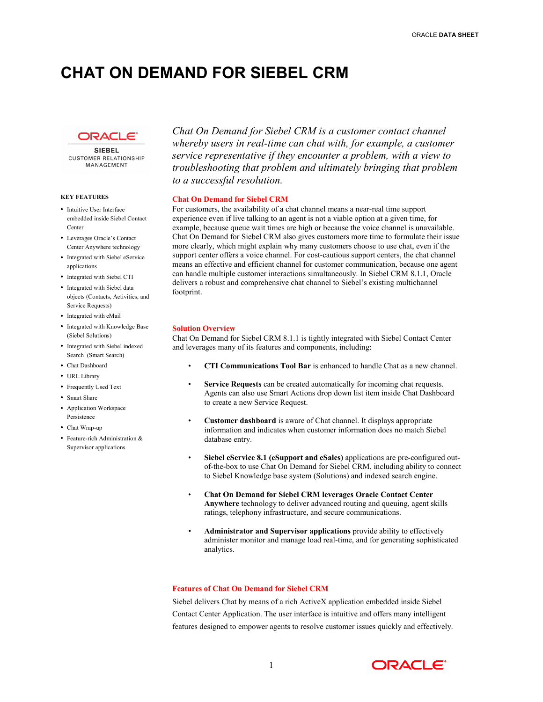# **CHAT ON DEMAND FOR SIEBEL CRM**



**SIEBEL CUSTOMER RELATIONSHIP** MANAGEMENT

### **KEY FEATURES**

- Intuitive User Interface embedded inside Siebel Contact Center
- • Leverages Oracle's Contact Center Anywhere technology
- • Integrated with Siebel eService applications
- Integrated with Siebel CTI
- • Integrated with Siebel data objects (Contacts, Activities, and Service Requests)
- Integrated with eMail
- • Integrated with Knowledge Base (Siebel Solutions)
- • Integrated with Siebel indexed Search (Smart Search)
- Chat Dashboard
- URL Library
- Frequently Used Text
- Smart Share
- • Application Workspace Persistence
- Chat Wrap-up
- Feature-rich Administration  $&$ Supervisor applications

 *Chat On Demand for Siebel CRM is a customer contact channel whereby users in real-time can chat with, for example, a customer service representative if they encounter a problem, with a view to troubleshooting that problem and ultimately bringing that problem to a successful resolution.*

## **Chat On Demand for Siebel CRM**

For customers, the availability of a chat channel means a near-real time support experience even if live talking to an agent is not a viable option at a given time, for example, because queue wait times are high or because the voice channel is unavailable. Chat On Demand for Siebel CRM also gives customers more time to formulate their issue more clearly, which might explain why many customers choose to use chat, even if the support center offers a voice channel. For cost-cautious support centers, the chat channel means an effective and efficient channel for customer communication, because one agent can handle multiple customer interactions simultaneously. In Siebel CRM 8.1.1, Oracle delivers a robust and comprehensive chat channel to Siebel's existing multichannel footprint.

## **Solution Overview**

 Chat On Demand for Siebel CRM 8.1.1 is tightly integrated with Siebel Contact Center and leverages many of its features and components, including:

- • **CTI Communications Tool Bar** is enhanced to handle Chat as a new channel.
- Service Requests can be created automatically for incoming chat requests. Agents can also use Smart Actions drop down list item inside Chat Dashboard to create a new Service Request.
- • **Customer dashboard** is aware of Chat channel. It displays appropriate information and indicates when customer information does no match Siebel database entry.
- **•** Siebel eService 8.1 (eSupport and eSales) applications are pre-configured outof-the-box to use Chat On Demand for Siebel CRM, including ability to connect to Siebel Knowledge base system (Solutions) and indexed search engine.
- • **Chat On Demand for Siebel CRM leverages Oracle Contact Center Anywhere** technology to deliver advanced routing and queuing, agent skills ratings, telephony infrastructure, and secure communications.
- • **Administrator and Supervisor applications** provide ability to effectively administer monitor and manage load real-time, and for generating sophisticated analytics.

## **Features of Chat On Demand for Siebel CRM**

 Siebel delivers Chat by means of a rich ActiveX application embedded inside Siebel Contact Center Application. The user interface is intuitive and offers many intelligent features designed to empower agents to resolve customer issues quickly and effectively.

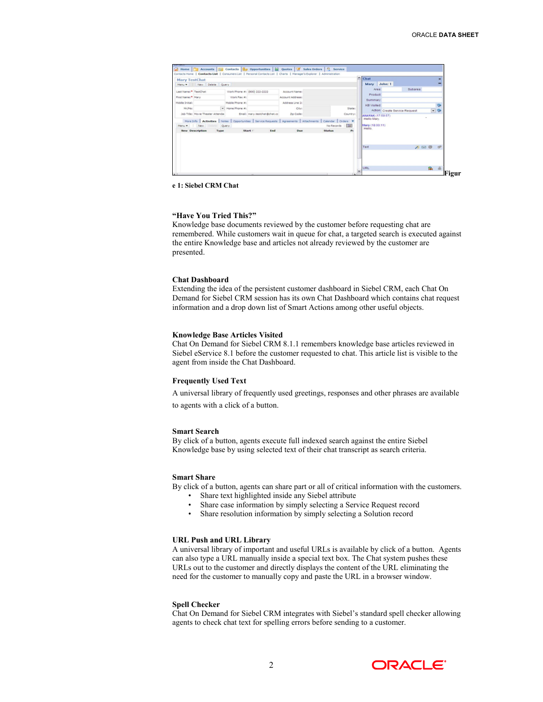| Home   Accounts   31 Contacts   8 Opportunities   8 Quotes   8 Sales Orders   9 Service                                |                 |                              |                   |                                                                                                                    |                |            |                                         |                                |            |               |
|------------------------------------------------------------------------------------------------------------------------|-----------------|------------------------------|-------------------|--------------------------------------------------------------------------------------------------------------------|----------------|------------|-----------------------------------------|--------------------------------|------------|---------------|
| Contacts Home   Contacts List   Consumers List   Personal Contacts List   Charts   Manager's Explorer   Administration |                 |                              |                   |                                                                                                                    |                |            |                                         |                                |            |               |
| Mary TestChat                                                                                                          |                 |                              |                   |                                                                                                                    |                |            | $\triangle$ Chat                        |                                |            | ×             |
| Menu = New Delete Query                                                                                                |                 |                              |                   |                                                                                                                    |                |            | Mary John: 1                            |                                |            | -             |
| Last Name: <sup>*</sup> TestChat                                                                                       |                 | Work Phone #: (800) 222-2222 | Account Name:     |                                                                                                                    |                |            | Area:                                   | Subarea:                       |            |               |
| First Name: <sup>*</sup> Mary                                                                                          | Work Fax #:     |                              | Account Address:  |                                                                                                                    |                |            | Product                                 |                                |            |               |
| Middle Initial:                                                                                                        | Mobile Phone #: |                              | Address Line 2:   |                                                                                                                    |                |            | Summary:                                |                                |            |               |
| Mr/Ms:                                                                                                                 | w Home Phone #  |                              | City:             |                                                                                                                    | States         |            | <b>KB</b> Visited:                      |                                |            | G             |
| Job Title: Movie Theater Attendar                                                                                      |                 | Email: mary.testchat@chat.cc | Zip Code:         |                                                                                                                    | Country:       |            |                                         | Action: Create Service Request |            | $ \circ$      |
|                                                                                                                        |                 |                              |                   |                                                                                                                    |                |            | <b>ANAYAK (17.59:57)</b><br>Hello Mary. |                                |            |               |
| Menu - New Drive                                                                                                       | Query           |                              |                   | More Info   Activities   Notes   Opportunities   Service Requests   Agreements   Attachments   Calendar   Orders W | No Records [D] |            | Mary (18:00:11)                         |                                |            |               |
| <b>New Description</b>                                                                                                 | Type            | Start :                      | End<br><b>Due</b> | Status                                                                                                             | P <sub>1</sub> |            | Hello.                                  |                                |            |               |
|                                                                                                                        |                 |                              |                   |                                                                                                                    |                |            |                                         |                                |            |               |
|                                                                                                                        |                 |                              |                   |                                                                                                                    |                |            |                                         |                                |            |               |
|                                                                                                                        |                 |                              |                   |                                                                                                                    |                |            | Text                                    |                                |            | $\Rightarrow$ |
|                                                                                                                        |                 |                              |                   |                                                                                                                    |                |            |                                         |                                | <b>ABB</b> |               |
|                                                                                                                        |                 |                              |                   |                                                                                                                    |                |            |                                         |                                |            |               |
|                                                                                                                        |                 |                              |                   |                                                                                                                    |                |            |                                         |                                |            |               |
|                                                                                                                        |                 |                              |                   |                                                                                                                    |                |            |                                         |                                |            |               |
|                                                                                                                        |                 |                              |                   |                                                                                                                    |                | $\check{}$ | <b>URL</b>                              |                                | 區          | $\triangle$   |
|                                                                                                                        |                 |                              |                   |                                                                                                                    |                |            |                                         |                                |            |               |

 **e 1: Siebel CRM Chat**

#### **"Have You Tried This?"**

 Knowledge base documents reviewed by the customer before requesting chat are remembered. While customers wait in queue for chat, a targeted search is executed against the entire Knowledge base and articles not already reviewed by the customer are presented.

#### **Chat Dashboard**

 Extending the idea of the persistent customer dashboard in Siebel CRM, each Chat On Demand for Siebel CRM session has its own Chat Dashboard which contains chat request information and a drop down list of Smart Actions among other useful objects.

#### **Knowledge Base Articles Visited**

 Chat On Demand for Siebel CRM 8.1.1 remembers knowledge base articles reviewed in Siebel eService 8.1 before the customer requested to chat. This article list is visible to the agent from inside the Chat Dashboard.

#### **Frequently Used Text**

A universal library of frequently used greetings, responses and other phrases are available

to agents with a click of a button.

#### **Smart Search**

 By click of a button, agents execute full indexed search against the entire Siebel Knowledge base by using selected text of their chat transcript as search criteria.

#### **Smart Share**

By click of a button, agents can share part or all of critical information with the customers.

- Share text highlighted inside any Siebel attribute
- Share case information by simply selecting a Service Request record
- Share resolution information by simply selecting a Solution record

#### **URL Push and URL Library**

 A universal library of important and useful URLs is available by click of a button. Agents can also type a URL manually inside a special text box. The Chat system pushes these URLs out to the customer and directly displays the content of the URL eliminating the need for the customer to manually copy and paste the URL in a browser window.

#### **Spell Checker**

 Chat On Demand for Siebel CRM integrates with Siebel's standard spell checker allowing agents to check chat text for spelling errors before sending to a customer.